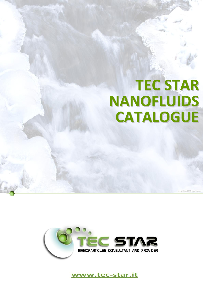# TEC STAR NANOFLUIDS CATALOGUE



www.tec-star.it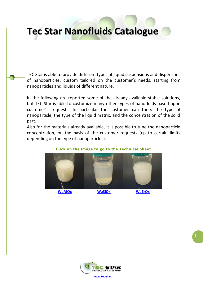### Tec Star Nanofluids Catalogue

TEC Star is able to provide different types of liquid suspensions and dispersions of nanoparticles, custom tailored on the customer's needs, starting from nanoparticles and liquids of different nature.

In the following are reported some of the already available stable solutions, but TEC Star is able to customize many other types of nanofluids based upon customer's requests. In particular the customer can tune: the type of nanoparticle, the type of the liquid matrix, and the concentration of the solid part.

Also for the materials already available, it is possible to tune the nanoparticle concentration, on the basis of the customer requests (up to certain limits depending on the type of nanoparticles).



#### Click on the Image to go to the Technical Sheet



www.tec-star.it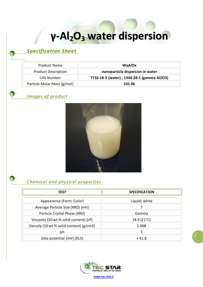### γ-Al<sub>2</sub>O<sub>3</sub> water dispersion

#### <span id="page-2-0"></span>*Specification Sheet*

| <b>Product Name</b>         | <b>WaAlOx</b>                               |
|-----------------------------|---------------------------------------------|
| <b>Product Description</b>  | nanoparticle dispersion in water            |
| <b>CAS Number</b>           | 7732-18-5 (water) ; 1344-28-1 (gamma Al2O3) |
| Particle Molar Mass [g/mol] | 101.96                                      |

#### *Images of product*



#### *Chemical and physical properties*

| TEST                                    | <b>SPECIFICATION</b> |
|-----------------------------------------|----------------------|
| Appearance (Form; Color)                | Liquid; white        |
| Average Particle Size (XRD) [nm]        |                      |
| Particle Crystal Phase (XRD)            | Gamma                |
| Viscosity (10 wt.% solid content) [cP]  | $18.9(21^{\circ}C)$  |
| Density (10 wt.% solid content) [g/cm3] | 1.068                |
| pH                                      | 5                    |
| Zeta potential [mV] (DLS)               | $+41.8$              |



2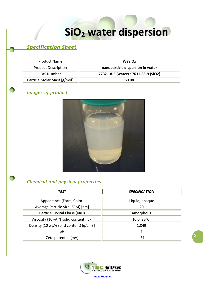## SiO<sub>2</sub> water dispersion

### <span id="page-3-0"></span>*Specification Sheet*

| <b>Product Name</b>         | <b>WaSiOx</b>                        |
|-----------------------------|--------------------------------------|
| <b>Product Description</b>  | nanoparticle dispersion in water     |
| <b>CAS Number</b>           | 7732-18-5 (water) ; 7631-86-9 (SiO2) |
| Particle Molar Mass [g/mol] | 60.08                                |

#### *Images of product*



#### *Chemical and physical properties*

| TEST                                    | <b>SPECIFICATION</b> |
|-----------------------------------------|----------------------|
| Appearance (Form; Color)                | Liquid; opaque       |
| Average Particle Size (SEM) [nm]        | 20                   |
| Particle Crystal Phase (XRD)            | amorphous            |
| Viscosity (10 wt.% solid content) [cP]  | 10.0(23°C)           |
| Density (10 wt.% solid content) [g/cm3] | 1.049                |
| рH                                      | 9                    |
| Zeta potential [mV]                     | $-31$                |



3